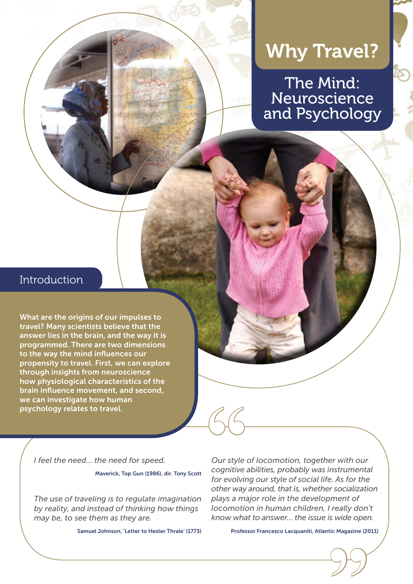# Why Travel?

The Mind: Neuroscience and Psychology

## Introduction

What are the origins of our impulses to travel? Many scientists believe that the answer lies in the brain, and the way it is programmed. There are two dimensions to the way the mind influences our propensity to travel. First, we can explore through insights from neuroscience how physiological characteristics of the brain influence movement, and second, we can investigate how human psychology relates to travel.

*I feel the need… the need for speed.*

Maverick, Top Gun (1986), dir. Tony Scott

*The use of traveling is to regulate imagination by reality, and instead of thinking how things may be, to see them as they are.*

Samuel Johnson, 'Letter to Hester Thrale' (1773)

*Our style of locomotion, together with our cognitive abilities, probably was instrumental for evolving our style of social life. As for the other way around, that is, whether socialization plays a major role in the development of locomotion in human children, I really don't know what to answer… the issue is wide open.* **66**<br>Our style<br>cognitive<br>for evolvir

Professor Francesco Lacquaniti, Atlantic Magazine (2011) E Magazine (20